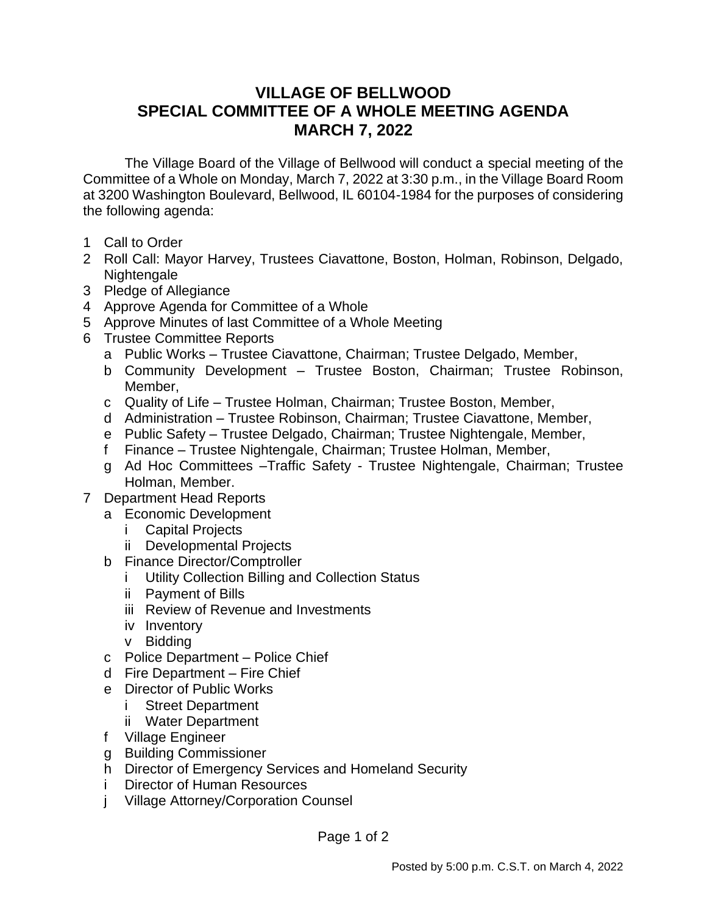## **VILLAGE OF BELLWOOD SPECIAL COMMITTEE OF A WHOLE MEETING AGENDA MARCH 7, 2022**

The Village Board of the Village of Bellwood will conduct a special meeting of the Committee of a Whole on Monday, March 7, 2022 at 3:30 p.m., in the Village Board Room at 3200 Washington Boulevard, Bellwood, IL 60104-1984 for the purposes of considering the following agenda:

- 1 Call to Order
- 2 Roll Call: Mayor Harvey, Trustees Ciavattone, Boston, Holman, Robinson, Delgado, Nightengale
- 3 Pledge of Allegiance
- 4 Approve Agenda for Committee of a Whole
- 5 Approve Minutes of last Committee of a Whole Meeting
- 6 Trustee Committee Reports
	- a Public Works Trustee Ciavattone, Chairman; Trustee Delgado, Member,
	- b Community Development Trustee Boston, Chairman; Trustee Robinson, Member,
	- c Quality of Life Trustee Holman, Chairman; Trustee Boston, Member,
	- d Administration Trustee Robinson, Chairman; Trustee Ciavattone, Member,
	- e Public Safety Trustee Delgado, Chairman; Trustee Nightengale, Member,
	- f Finance Trustee Nightengale, Chairman; Trustee Holman, Member,
	- g Ad Hoc Committees –Traffic Safety Trustee Nightengale, Chairman; Trustee Holman, Member.
- 7 Department Head Reports
	- a Economic Development
		- i Capital Projects
		- ii Developmental Projects
	- b Finance Director/Comptroller
		- i Utility Collection Billing and Collection Status
		- ii Payment of Bills
		- iii Review of Revenue and Investments
		- iv Inventory
		- v Bidding
	- c Police Department Police Chief
	- d Fire Department Fire Chief
	- e Director of Public Works
		- i Street Department
		- ii Water Department
	- f Village Engineer
	- g Building Commissioner
	- h Director of Emergency Services and Homeland Security
	- i Director of Human Resources
	- j Village Attorney/Corporation Counsel